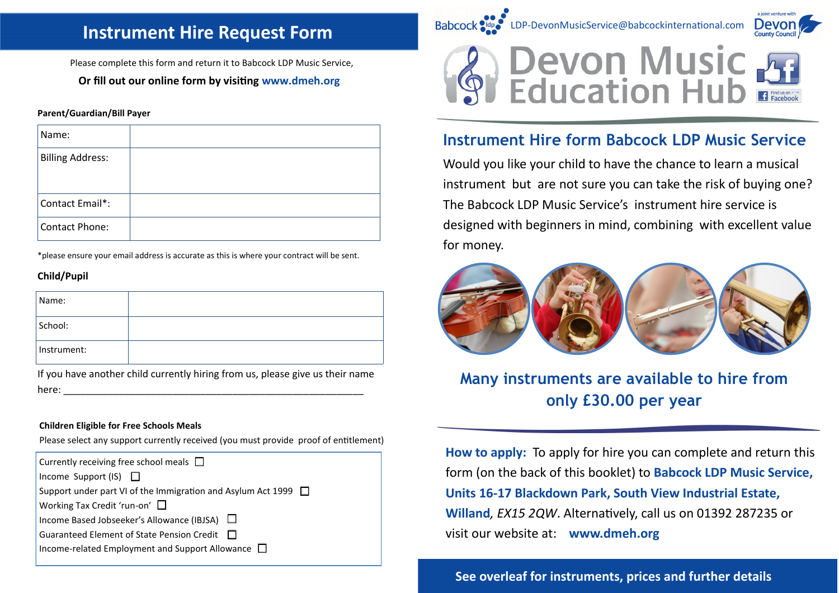## **Instrument Hire Request Form**

Please complete this form and return it to Babcock LDP Music Service,

## **Or fill out our online form by visiting www.dmeh.org**

#### **Parent/Guardian/Bill Payer**

| Name:                   |  |
|-------------------------|--|
| <b>Billing Address:</b> |  |
| Contact Email*:         |  |
| Contact Phone:          |  |

\*please ensure your email address is accurate as this is where your contract will be sent.

### **Child/Pupil**

| Name:       |  |
|-------------|--|
| School:     |  |
| Instrument: |  |

If you have another child currently hiring from us, please give us their name here: \_\_\_\_\_\_\_\_\_\_\_\_\_\_\_\_\_\_\_\_\_\_\_\_\_\_\_\_\_\_\_\_\_\_\_\_\_\_\_\_\_\_\_\_\_\_\_\_\_\_\_\_\_\_\_

#### **Children Eligible for Free Schools Meals**

Please select any support currently received (you must provide proof of entitlement)

| Currently receiving free school meals $\Box$                        |
|---------------------------------------------------------------------|
| Income Support (IS) $\Box$                                          |
| Support under part VI of the Immigration and Asylum Act 1999 $\Box$ |
| Working Tax Credit 'run-on'                                         |
| Income Based Jobseeker's Allowance (IBJSA) □                        |
| Guaranteed Element of State Pension Credit $\Box$                   |
| Income-related Employment and Support Allowance $\Box$              |
|                                                                     |



## **Instrument Hire form Babcock LDP Music Service**

Would you like your child to have the chance to learn a musical instrument but are not sure you can take the risk of buying one? The Babcock LDP Music Service's [instrument hire service](https://www.devon.gov.uk/index/learning/out_of_school_activities/musicservice/trans-eal_instrument_hire.htm) is designed with beginners in mind, combining with excellent value for money.



# **Many instruments are available to hire from only £30.00 per year**

**How to apply:** To apply for hire you can complete and return this form (on the back of this booklet) to **Babcock LDP Music Service, Units 16-17 Blackdown Park, South View Industrial Estate, Willand***, EX15 2QW*. Alternatively, call us on 01392 287235 or visit our website at: **www.dmeh.org** 

**See overleaf for instruments, prices and further details**